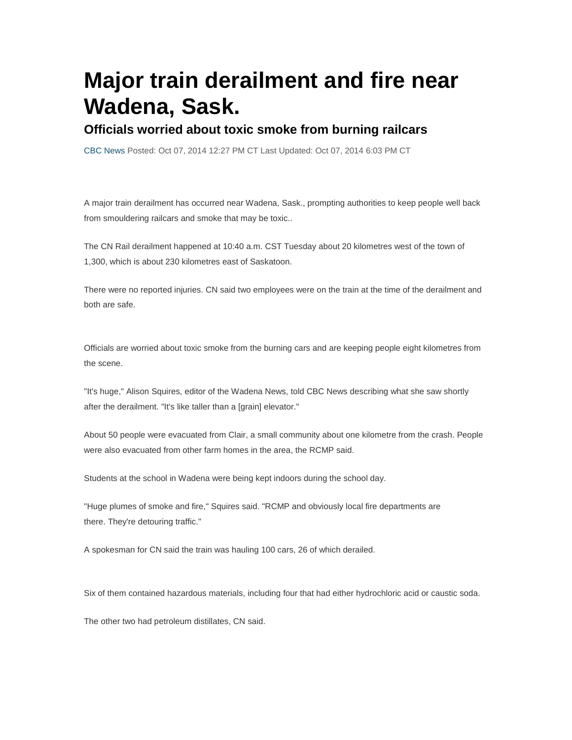## **Major train derailment and fire near Wadena, Sask.**

## **Officials worried about toxic smoke from burning railcars**

CBC News Posted: Oct 07, 2014 12:27 PM CT Last Updated: Oct 07, 2014 6:03 PM CT

A major train derailment has occurred near Wadena, Sask., prompting authorities to keep people well back from smouldering railcars and smoke that may be toxic..

The CN Rail derailment happened at 10:40 a.m. CST Tuesday about 20 kilometres west of the town of 1,300, which is about 230 kilometres east of Saskatoon.

There were no reported injuries. CN said two employees were on the train at the time of the derailment and both are safe.

Officials are worried about toxic smoke from the burning cars and are keeping people eight kilometres from the scene.

"It's huge," Alison Squires, editor of the Wadena News, told CBC News describing what she saw shortly after the derailment. "It's like taller than a [grain] elevator."

About 50 people were evacuated from Clair, a small community about one kilometre from the crash. People were also evacuated from other farm homes in the area, the RCMP said.

Students at the school in Wadena were being kept indoors during the school day.

"Huge plumes of smoke and fire," Squires said. "RCMP and obviously local fire departments are there. They're detouring traffic."

A spokesman for CN said the train was hauling 100 cars, 26 of which derailed.

Six of them contained hazardous materials, including four that had either hydrochloric acid or caustic soda.

The other two had petroleum distillates, CN said.